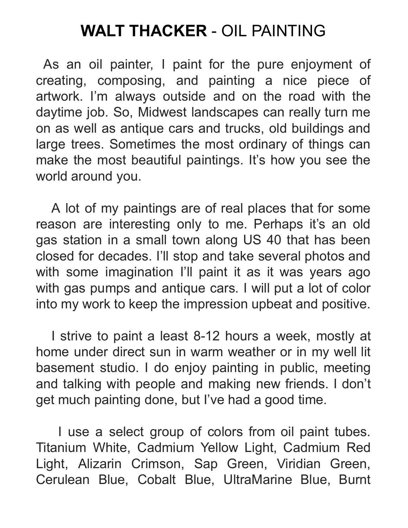## **WALT THACKER** - OIL PAINTING

As an oil painter, I paint for the pure enjoyment of creating, composing, and painting a nice piece of artwork. I'm always outside and on the road with the daytime job. So, Midwest landscapes can really turn me on as well as antique cars and trucks, old buildings and large trees. Sometimes the most ordinary of things can make the most beautiful paintings. It's how you see the world around you.

A lot of my paintings are of real places that for some reason are interesting only to me. Perhaps it's an old gas station in a small town along US 40 that has been closed for decades. I'll stop and take several photos and with some imagination I'll paint it as it was years ago with gas pumps and antique cars. I will put a lot of color into my work to keep the impression upbeat and positive.

I strive to paint a least 8-12 hours a week, mostly at home under direct sun in warm weather or in my well lit basement studio. I do enjoy painting in public, meeting and talking with people and making new friends. I don't get much painting done, but I've had a good time.

I use a select group of colors from oil paint tubes. Titanium White, Cadmium Yellow Light, Cadmium Red Light, Alizarin Crimson, Sap Green, Viridian Green, Cerulean Blue, Cobalt Blue, UltraMarine Blue, Burnt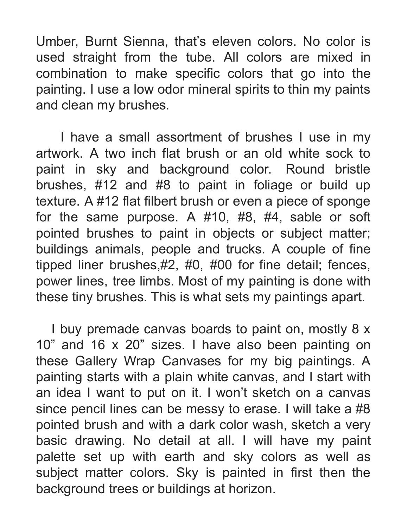Umber, Burnt Sienna, that's eleven colors. No color is used straight from the tube. All colors are mixed in combination to make specific colors that go into the painting. I use a low odor mineral spirits to thin my paints and clean my brushes.

I have a small assortment of brushes I use in my artwork. A two inch flat brush or an old white sock to paint in sky and background color. Round bristle brushes, #12 and #8 to paint in foliage or build up texture. A #12 flat filbert brush or even a piece of sponge for the same purpose. A #10, #8, #4, sable or soft pointed brushes to paint in objects or subject matter; buildings animals, people and trucks. A couple of fine tipped liner brushes,#2, #0, #00 for fine detail; fences, power lines, tree limbs. Most of my painting is done with these tiny brushes. This is what sets my paintings apart.

I buy premade canvas boards to paint on, mostly 8 x 10" and 16 x 20" sizes. I have also been painting on these Gallery Wrap Canvases for my big paintings. A painting starts with a plain white canvas, and I start with an idea I want to put on it. I won't sketch on a canvas since pencil lines can be messy to erase. I will take a #8 pointed brush and with a dark color wash, sketch a very basic drawing. No detail at all. I will have my paint palette set up with earth and sky colors as well as subject matter colors. Sky is painted in first then the background trees or buildings at horizon.